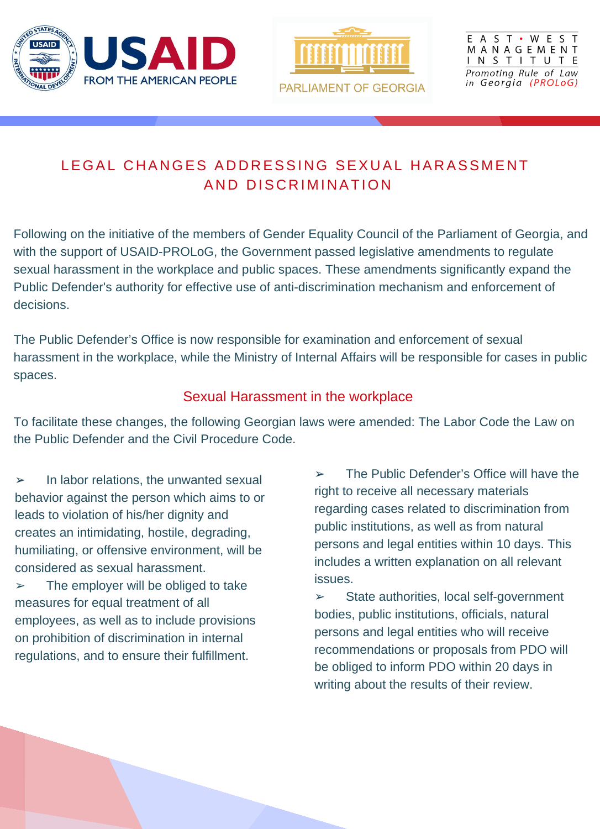

## E A S T · W E S T MANAGEMENT

Promoting Rule of Law in Georgia (PROLoG)

## LEGAL CHANGES ADDRESSING SEXUAL HARASSMENT AND DISCRIMINATION

Following on the initiative of the members of Gender Equality Council of the Parliament of Georgia, and with the support of USAID-PROLoG, the Government passed legislative amendments to regulate sexual harassment in the workplace and public spaces. These amendments significantly expand the Public Defender's authority for effective use of anti-discrimination mechanism and enforcement of decisions.

The Public Defender's Office is now responsible for examination and enforcement of sexual harassment in the workplace, while the Ministry of Internal Affairs will be responsible for cases in public spaces.

 $\triangleright$  The employer will be obliged to take measures for equal treatment of all employees, as well as to include provisions

Sexual Harassment in the workplace

To facilitate these changes, the following Georgian laws were amended: The Labor Code the Law on the Public Defender and the Civil Procedure Code.

➢ In labor relations, the unwanted sexual behavior against the person which aims to or leads to violation of his/her dignity and creates an intimidating, hostile, degrading, humiliating, or offensive environment, will be considered as sexual harassment.

on prohibition of discrimination in internal regulations, and to ensure their fulfillment.

➢ The Public Defender's Office will have the right to receive all necessary materials regarding cases related to discrimination from public institutions, as well as from natural persons and legal entities within 10 days. This includes a written explanation on all relevant issues.

➢ State authorities, local self-government bodies, public institutions, officials, natural

persons and legal entities who will receive recommendations or proposals from PDO will be obliged to inform PDO within 20 days in writing about the results of their review.